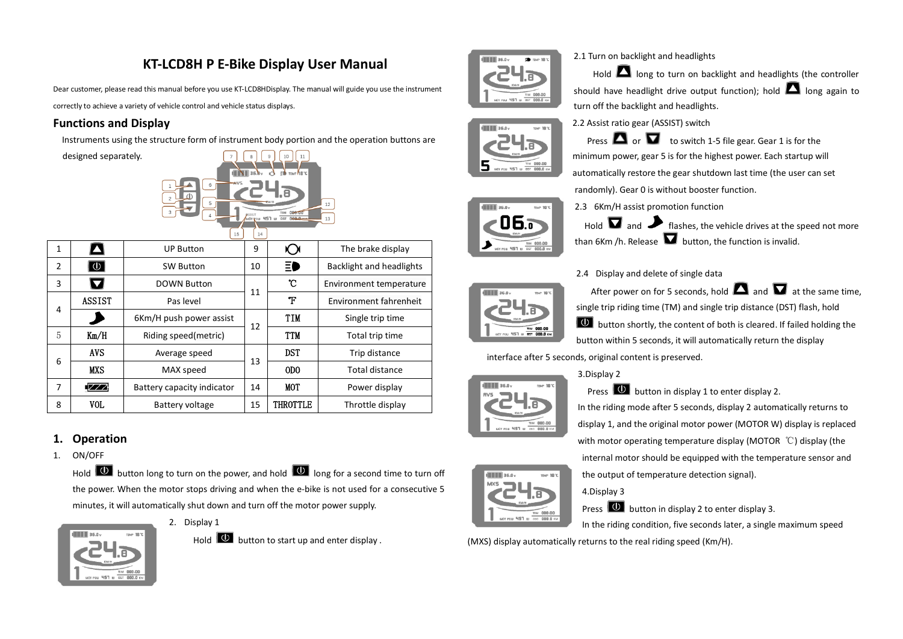# **KT-LCD8H P E-Bike Display User Manual**

Dear customer, please read this manual before you use KT-LCD8HDisplay. The manual will guide you use the instrument

correctly to achieve a variety of vehicle control and vehicle status displays.

## **Functions and Display**

Instruments using the structure form of instrument body portion and the operation buttons are

designed separately.



## **1. Operation**

1. ON/OFF

Hold  $\Box$  button long to turn on the power, and hold  $\Box$  long for a second time to turn off the power. When the motor stops driving and when the e-bike is not used for a consecutive 5 minutes, it will automatically shut down and turn off the motor power supply.



2. Display 1

Hold  $\overline{\mathbf{0}}$  button to start up and enter display .







2.3 6Km/H assist promotion function Hold  $\Box$  and  $\Box$  flashes, the vehicle drives at the speed not more than 6Km /h. Release  $\blacksquare$  button, the function is invalid.

**Press**  $\Box$  or  $\Box$  to switch 1-5 file gear. Gear 1 is for the

 $H$  long to turn on backlight and headlights (the controller



#### 2.4 Display and delete of single data

randomly). Gear 0 is without booster function.

2.1 Turn on backlight and headlights

After power on for 5 seconds, hold  $\Box$  and  $\Box$  at the same time. single trip riding time (TM) and single trip distance (DST) flash, hold  $\Box$  button shortly, the content of both is cleared. If failed holding the button within 5 seconds, it will automatically return the display

interface after 5 seconds, original content is preserved.



### 3.Display 2

Press  $\boxed{\mathbf{0}}$  button in display 1 to enter display 2. In the riding mode after 5 seconds, display 2 automatically returns to display 1, and the original motor power (MOTOR W) display is replaced with motor operating temperature display (MOTOR ℃) display (the internal motor should be equipped with the temperature sensor and

the output of temperature detection signal).

4.Display 3

Press  $\overline{\mathbf{0}}$  button in display 2 to enter display 3.

In the riding condition, five seconds later, a single maximum speed

(MXS) display automatically returns to the real riding speed (Km/H).

should have headlight drive output function); hold  $\Box$  long again to turn off the backlight and headlights.